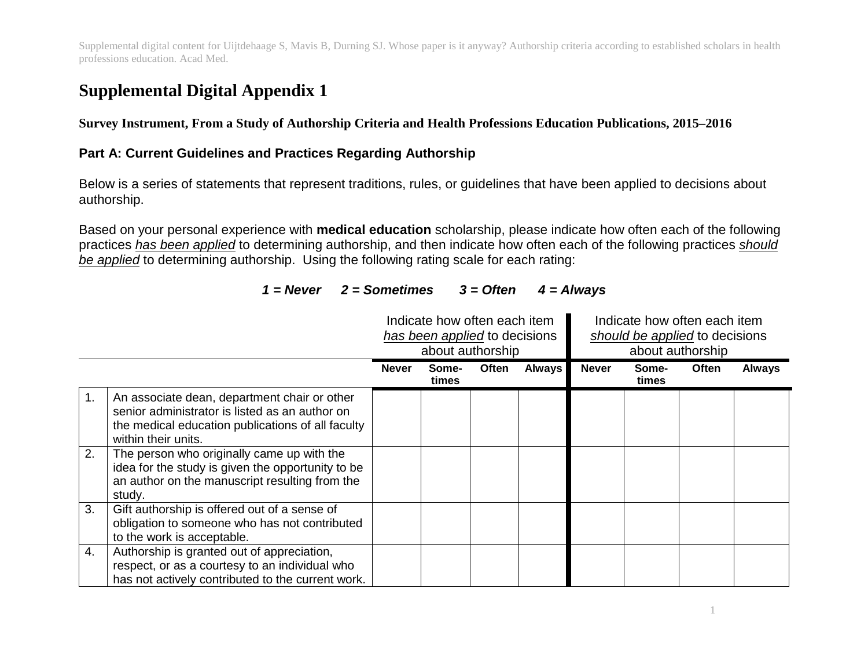# **Supplemental Digital Appendix 1**

**Survey Instrument, From a Study of Authorship Criteria and Health Professions Education Publications, 2015–2016**

#### **Part A: Current Guidelines and Practices Regarding Authorship**

Below is a series of statements that represent traditions, rules, or guidelines that have been applied to decisions about authorship.

Based on your personal experience with **medical education** scholarship, please indicate how often each of the following practices *has been applied* to determining authorship, and then indicate how often each of the following practices *should be applied* to determining authorship. Using the following rating scale for each rating:

|          |                                                                                                                                                                                                                                                                                                                                 | Indicate how often each item<br>has been applied to decisions<br>about authorship |                |       | Indicate how often each item<br>should be applied to decisions<br>about authorship |              |                |       |               |
|----------|---------------------------------------------------------------------------------------------------------------------------------------------------------------------------------------------------------------------------------------------------------------------------------------------------------------------------------|-----------------------------------------------------------------------------------|----------------|-------|------------------------------------------------------------------------------------|--------------|----------------|-------|---------------|
|          |                                                                                                                                                                                                                                                                                                                                 | <b>Never</b>                                                                      | Some-<br>times | Often | <b>Always</b>                                                                      | <b>Never</b> | Some-<br>times | Often | <b>Always</b> |
| 1.<br>2. | An associate dean, department chair or other<br>senior administrator is listed as an author on<br>the medical education publications of all faculty<br>within their units.<br>The person who originally came up with the<br>idea for the study is given the opportunity to be<br>an author on the manuscript resulting from the |                                                                                   |                |       |                                                                                    |              |                |       |               |
| 3.<br>4. | study.<br>Gift authorship is offered out of a sense of<br>obligation to someone who has not contributed<br>to the work is acceptable.<br>Authorship is granted out of appreciation,                                                                                                                                             |                                                                                   |                |       |                                                                                    |              |                |       |               |
|          | respect, or as a courtesy to an individual who<br>has not actively contributed to the current work.                                                                                                                                                                                                                             |                                                                                   |                |       |                                                                                    |              |                |       |               |

## *1 = Never 2 = Sometimes 3 = Often 4 = Always*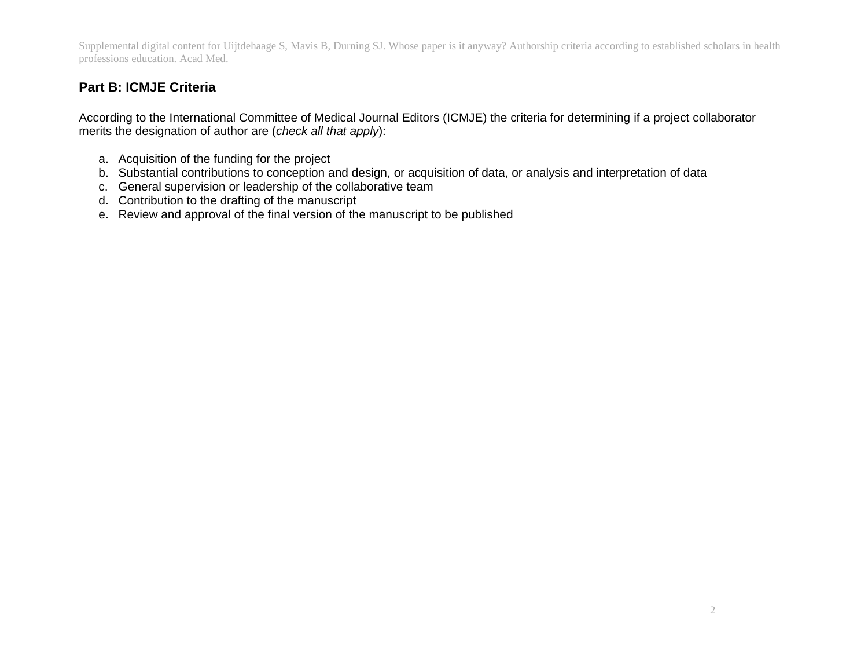## **Part B: ICMJE Criteria**

According to the International Committee of Medical Journal Editors (ICMJE) the criteria for determining if a project collaborator merits the designation of author are (*check all that apply*):

- a. Acquisition of the funding for the project
- b. Substantial contributions to conception and design, or acquisition of data, or analysis and interpretation of data
- c. General supervision or leadership of the collaborative team
- d. Contribution to the drafting of the manuscript
- e. Review and approval of the final version of the manuscript to be published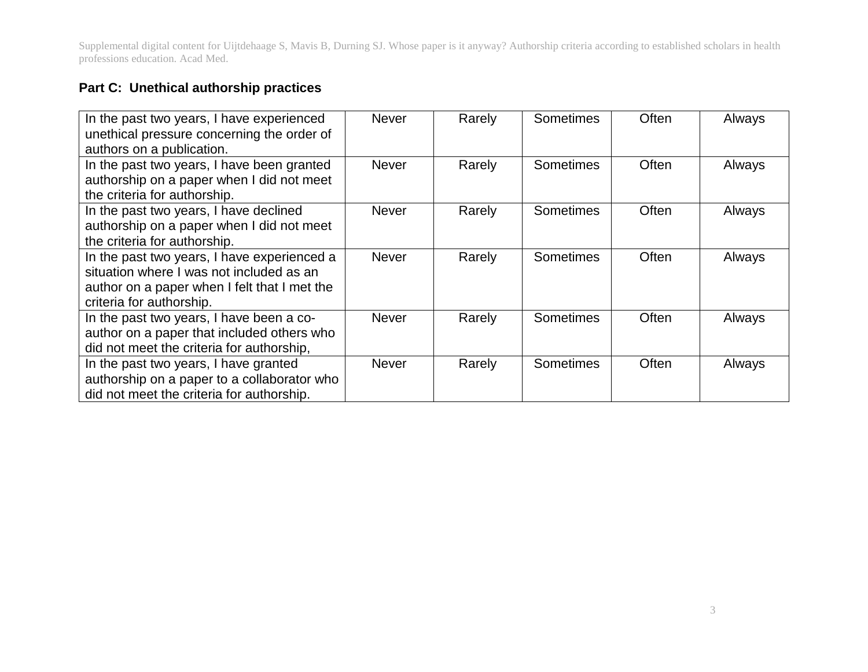# **Part C: Unethical authorship practices**

| In the past two years, I have experienced<br>unethical pressure concerning the order of<br>authors on a publication.                                                | <b>Never</b> | Rarely | Sometimes | Often | Always |
|---------------------------------------------------------------------------------------------------------------------------------------------------------------------|--------------|--------|-----------|-------|--------|
| In the past two years, I have been granted<br>authorship on a paper when I did not meet<br>the criteria for authorship.                                             | <b>Never</b> | Rarely | Sometimes | Often | Always |
| In the past two years, I have declined<br>authorship on a paper when I did not meet<br>the criteria for authorship.                                                 | <b>Never</b> | Rarely | Sometimes | Often | Always |
| In the past two years, I have experienced a<br>situation where I was not included as an<br>author on a paper when I felt that I met the<br>criteria for authorship. | <b>Never</b> | Rarely | Sometimes | Often | Always |
| In the past two years, I have been a co-<br>author on a paper that included others who<br>did not meet the criteria for authorship,                                 | <b>Never</b> | Rarely | Sometimes | Often | Always |
| In the past two years, I have granted<br>authorship on a paper to a collaborator who<br>did not meet the criteria for authorship.                                   | <b>Never</b> | Rarely | Sometimes | Often | Always |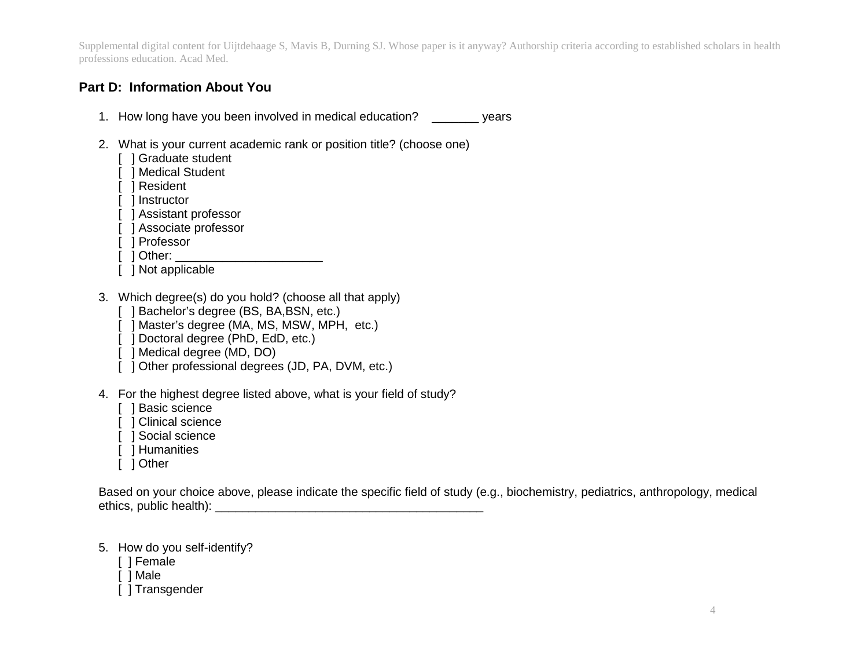#### **Part D: Information About You**

- 1. How long have you been involved in medical education? \_\_\_\_\_\_\_ years
- 2. What is your current academic rank or position title? (choose one)
	- [ ] Graduate student
	- [ ] Medical Student
	- [ ] Resident
	- [ ] Instructor
	- [ ] Assistant professor
	- [ ] Associate professor
	- [ ] Professor
	- $\lceil$   $\rceil$  Other:  $\lceil$
	- [ ] Not applicable
- 3. Which degree(s) do you hold? (choose all that apply)
	- [ ] Bachelor's degree (BS, BA, BSN, etc.)
	- [ ] Master's degree (MA, MS, MSW, MPH, etc.)
	- [ ] Doctoral degree (PhD, EdD, etc.)
	- [ ] Medical degree (MD, DO)
	- [ ] Other professional degrees (JD, PA, DVM, etc.)
- 4. For the highest degree listed above, what is your field of study?
	- [ ] Basic science
	- [ ] Clinical science
	- [ ] Social science
	- [ ] Humanities
	- [ ] Other

Based on your choice above, please indicate the specific field of study (e.g., biochemistry, pediatrics, anthropology, medical ethics, public health):  $\blacksquare$ 

- 5. How do you self-identify?
	- [ ] Female
	- [ ] Male
	- [ ] Transgender